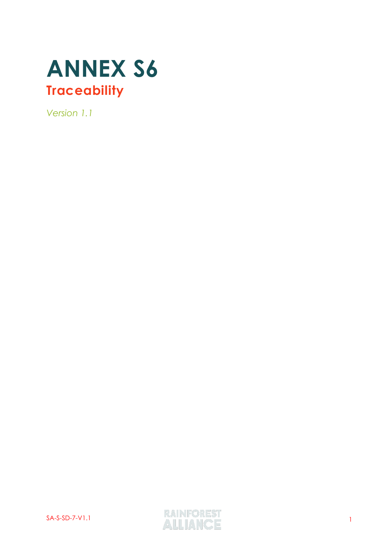

*Version 1.1*

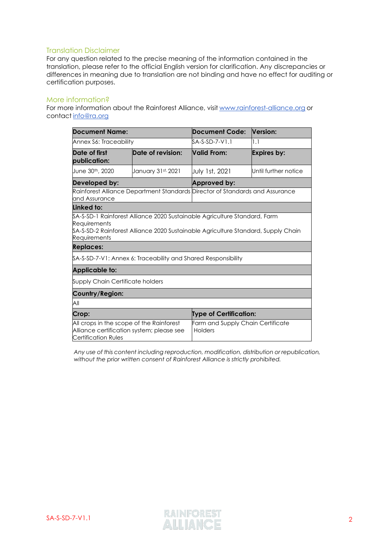### Translation Disclaimer

For any question related to the precise meaning of the information contained in the translation, please refer to the official English version for clarification. Any discrepancies or differences in meaning due to translation are not binding and have no effect for auditing or certification purposes.

#### More information?

For more information about the Rainforest Alliance, visit [www.rainforest-alliance.org](http://www.rainforest-alliance.org/) or contact [info@ra.org](mailto:info@ra.org)

| <b>Document Name:</b>                                                                         |                                                                                                                                              | <b>Document Code:</b>                                                                                                                                            | <b>Version:</b>      |  |
|-----------------------------------------------------------------------------------------------|----------------------------------------------------------------------------------------------------------------------------------------------|------------------------------------------------------------------------------------------------------------------------------------------------------------------|----------------------|--|
| Annex S6: Traceability                                                                        |                                                                                                                                              | $SA-S-SD-7-V1.1$                                                                                                                                                 | 1.1                  |  |
| Date of first<br>publication:                                                                 | Date of revision:<br><b>Valid From:</b>                                                                                                      |                                                                                                                                                                  | <b>Expires by:</b>   |  |
| June 30th, 2020                                                                               | January 31st, 2021                                                                                                                           | July 1st, 2021                                                                                                                                                   | Until further notice |  |
| Developed by:                                                                                 |                                                                                                                                              | Approved by:                                                                                                                                                     |                      |  |
| Rainforest Alliance Department Standards Director of Standards and Assurance<br>and Assurance |                                                                                                                                              |                                                                                                                                                                  |                      |  |
| Linked to:                                                                                    |                                                                                                                                              |                                                                                                                                                                  |                      |  |
| Requirements<br>Requirements                                                                  |                                                                                                                                              | \$A-S-SD-1 Rainforest Alliance 2020 Sustainable Agriculture Standard, Farm<br>\$A-S-SD-2 Rainforest Alliance 2020 Sustainable Agriculture Standard, Supply Chain |                      |  |
| <b>Replaces:</b>                                                                              |                                                                                                                                              |                                                                                                                                                                  |                      |  |
| \$A-\$-\$D-7-V1: Annex 6: Traceability and Shared Responsibility                              |                                                                                                                                              |                                                                                                                                                                  |                      |  |
| <b>Applicable to:</b>                                                                         |                                                                                                                                              |                                                                                                                                                                  |                      |  |
| Supply Chain Certificate holders                                                              |                                                                                                                                              |                                                                                                                                                                  |                      |  |
| Country/Region:                                                                               |                                                                                                                                              |                                                                                                                                                                  |                      |  |
| All                                                                                           |                                                                                                                                              |                                                                                                                                                                  |                      |  |
| Crop:                                                                                         |                                                                                                                                              | <b>Type of Certification:</b>                                                                                                                                    |                      |  |
| <b>Certification Rules</b>                                                                    | Farm and Supply Chain Certificate<br>All crops in the scope of the Rainforest<br>Alliance certification system; please see<br><b>Holders</b> |                                                                                                                                                                  |                      |  |

*Any use of this content including reproduction, modification, distribution or republication, without the prior written consent of Rainforest Alliance is strictly prohibited.*

SA-S-SD-7-V1.1 RAINFOREST<br>ALLIANCE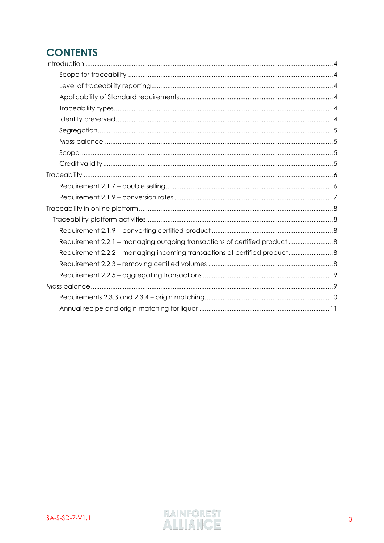# **CONTENTS**

| Requirement 2.2.1 - managing outgoing transactions of certified product  8 |  |
|----------------------------------------------------------------------------|--|
| Requirement 2.2.2 - managing incoming transactions of certified product 8  |  |
|                                                                            |  |
|                                                                            |  |
|                                                                            |  |
|                                                                            |  |
|                                                                            |  |

<span id="page-2-0"></span>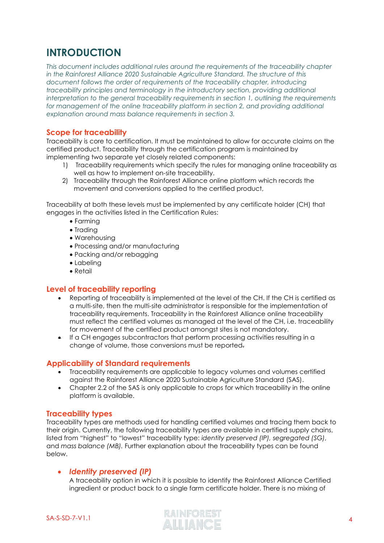## **INTRODUCTION**

*This document includes additional rules around the requirements of the traceability chapter in the Rainforest Alliance 2020 Sustainable Agriculture Standard. The structure of this document follows the order of requirements of the traceability chapter, introducing traceability principles and terminology in the introductory section, providing additional interpretation to the general traceability requirements in section 1, outlining the requirements for management of the online traceability platform in section 2, and providing additional explanation around mass balance requirements in section 3.* 

## <span id="page-3-0"></span>**Scope for traceability**

Traceability is core to certification. It must be maintained to allow for accurate claims on the certified product. Traceability through the certification program is maintained by implementing two separate yet closely related components:

- 1) Traceability requirements which specify the rules for managing online traceability as well as how to implement on-site traceability.
- 2) Traceability through the Rainforest Alliance online platform which records the movement and conversions applied to the certified product,

Traceability at both these levels must be implemented by any certificate holder (CH) that engages in the activities listed in the Certification Rules:

- Farming
- Trading
- Warehousing
- Processing and/or manufacturing
- Packing and/or rebagging
- Labeling
- Retail

## <span id="page-3-1"></span>**Level of traceability reporting**

- Reporting of traceability is implemented at the level of the CH. If the CH is certified as a multi-site, then the multi-site administrator is responsible for the implementation of traceability requirements. Traceability in the Rainforest Alliance online traceability must reflect the certified volumes as managed at the level of the CH, i.e. traceability for movement of the certified product amongst sites is not mandatory.
- If a CH engages subcontractors that perform processing activities resulting in a change of volume, those conversions must be reported.

### <span id="page-3-2"></span>**Applicability of Standard requirements**

- Traceability requirements are applicable to legacy volumes and volumes certified against the Rainforest Alliance 2020 Sustainable Agriculture Standard (SAS).
- Chapter 2.2 of the SAS is only applicable to crops for which traceability in the online platform is available.

### <span id="page-3-3"></span>**Traceability types**

Traceability types are methods used for handling certified volumes and tracing them back to their origin. Currently, the following traceability types are available in certified supply chains, listed from "highest" to "lowest" traceability type: *identity preserved (IP), segregated (SG),* and *mass balance (MB).* Further explanation about the traceability types can be found below.

### <span id="page-3-4"></span>• *Identity preserved (IP)*

A traceability option in which it is possible to identify the Rainforest Alliance Certified ingredient or product back to a single farm certificate holder. There is no mixing of

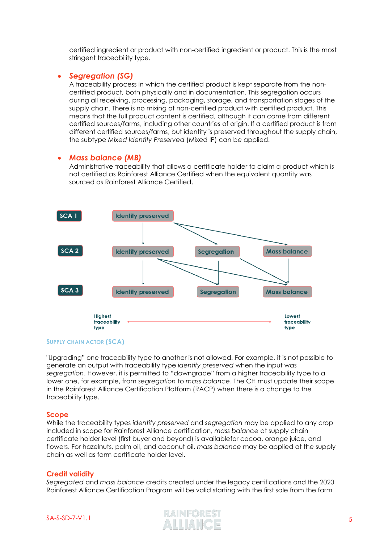certified ingredient or product with non-certified ingredient or product. This is the most stringent traceability type.

### <span id="page-4-0"></span>• *Segregation (SG)*

A traceability process in which the certified product is kept separate from the noncertified product, both physically and in documentation. This segregation occurs during all receiving, processing, packaging, storage, and transportation stages of the supply chain. There is no mixing of non-certified product with certified product. This means that the full product content is certified, although it can come from different certified sources/farms, including other countries of origin. If a certified product is from different certified sources/farms, but identity is preserved throughout the supply chain, the subtype *Mixed Identity Preserved* (Mixed IP) can be applied.

## <span id="page-4-1"></span>• *Mass balance (MB)*

Administrative traceability that allows a certificate holder to claim a product which is not certified as Rainforest Alliance Certified when the equivalent quantity was sourced as Rainforest Alliance Certified.



#### **SUPPLY CHAIN ACTOR (SCA)**

"Upgrading" one traceability type to another is not allowed. For example, it is not possible to generate an output with traceability type *identify preserved* when the input was *segregation*. However, it is permitted to "downgrade" from a higher traceability type to a lower one, for example, from *segregation* to *mass balance*. The CH must update their scope in the Rainforest Alliance Certification Platform (RACP) when there is a change to the traceability type.

#### <span id="page-4-2"></span>**Scope**

While the traceability types *identity preserved* and *segregation* may be applied to any crop included in scope for Rainforest Alliance certification, *mass balance* at supply chain certificate holder level (first buyer and beyond) is availablefor cocoa, orange juice, and flowers. For hazelnuts, palm oil, and coconut oil, *mass balance* may be applied at the supply chain as well as farm certificate holder level.

#### <span id="page-4-3"></span>**Credit validity**

*Segregated* and *mass balance* credits created under the legacy certifications and the 2020 Rainforest Alliance Certification Program will be valid starting with the first sale from the farm



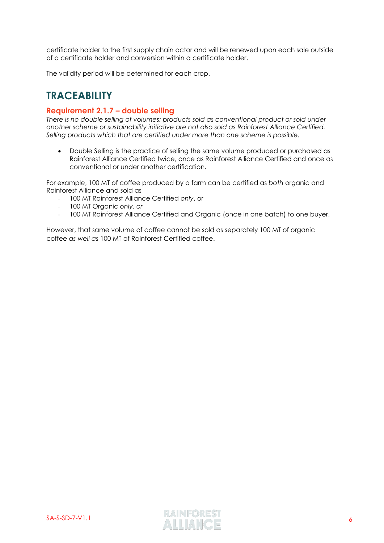certificate holder to the first supply chain actor and will be renewed upon each sale outside of a certificate holder and conversion within a certificate holder.

The validity period will be determined for each crop.

## <span id="page-5-0"></span>**TRACEABILITY**

## <span id="page-5-1"></span>**Requirement 2.1.7 – double selling**

*There is no double selling of volumes: products sold as conventional product or sold under another scheme or sustainability initiative are not also sold as Rainforest Alliance Certified. Selling products which that are certified under more than one scheme is possible.*

• Double Selling is the practice of selling the same volume produced or purchased as Rainforest Alliance Certified twice, once as Rainforest Alliance Certified and once as conventional or under another certification.

For example, 100 MT of coffee produced by a farm can be certified as *both* organic and Rainforest Alliance and sold as

- 100 MT Rainforest Alliance Certified *only*, or
- 100 MT Organic *only, or*
- 100 MT Rainforest Alliance Certified and Organic (once in one batch) to one buyer.

However, that same volume of coffee cannot be sold as separately 100 MT of organic coffee *as well as* 100 MT of Rainforest Certified coffee.

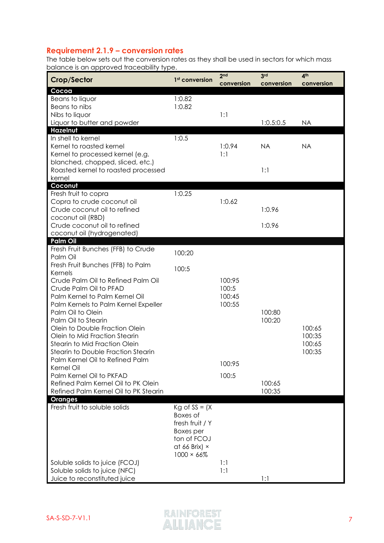## <span id="page-6-0"></span>**Requirement 2.1.9 – conversion rates**

The table below sets out the conversion rates as they shall be used in sectors for which mass balance is an approved traceability type.

| Crop/Sector                           | 1 <sup>st</sup> conversion | 2 <sub>nd</sub><br>conversion | 3 <sup>rd</sup><br>conversion | 4 <sup>th</sup><br>conversion |
|---------------------------------------|----------------------------|-------------------------------|-------------------------------|-------------------------------|
| Cocoa                                 |                            |                               |                               |                               |
| Beans to liquor                       | 1:0.82                     |                               |                               |                               |
| Beans to nibs                         | 1:0.82                     |                               |                               |                               |
| Nibs to liquor                        |                            | 1:1                           |                               |                               |
| Liquor to butter and powder           |                            |                               | 1:0.5:0.5                     | <b>NA</b>                     |
| Hazelnut                              |                            |                               |                               |                               |
| In shell to kernel                    | 1:0.5                      |                               |                               |                               |
| Kernel to roasted kernel              |                            | 1:0.94                        | <b>NA</b>                     | <b>NA</b>                     |
| Kernel to processed kernel (e.g.      |                            | 1:1                           |                               |                               |
| blanched, chopped, sliced, etc.)      |                            |                               |                               |                               |
| Roasted kernel to roasted processed   |                            |                               | 1:1                           |                               |
| kernel                                |                            |                               |                               |                               |
| Coconut                               |                            |                               |                               |                               |
| Fresh fruit to copra                  | 1:0.25                     |                               |                               |                               |
| Copra to crude coconut oil            |                            | 1:0.62                        |                               |                               |
| Crude coconut oil to refined          |                            |                               | 1:0.96                        |                               |
| coconut oil (RBD)                     |                            |                               |                               |                               |
| Crude coconut oil to refined          |                            |                               | 1:0.96                        |                               |
| coconut oil (hydrogenated)            |                            |                               |                               |                               |
| <b>Palm Oil</b>                       |                            |                               |                               |                               |
| Fresh Fruit Bunches (FFB) to Crude    | 100:20                     |                               |                               |                               |
| Palm Oil                              |                            |                               |                               |                               |
| Fresh Fruit Bunches (FFB) to Palm     | 100:5                      |                               |                               |                               |
| Kernels                               |                            |                               |                               |                               |
| Crude Palm Oil to Refined Palm Oil    |                            | 100:95                        |                               |                               |
| Crude Palm Oil to PFAD                |                            | 100:5                         |                               |                               |
| Palm Kernel to Palm Kernel Oil        |                            | 100:45                        |                               |                               |
| Palm Kernels to Palm Kernel Expeller  |                            | 100:55                        |                               |                               |
| Palm Oil to Olein                     |                            |                               | 100:80                        |                               |
| Palm Oil to Stearin                   |                            |                               | 100:20                        |                               |
| Olein to Double Fraction Olein        |                            |                               |                               | 100:65                        |
| Olein to Mid Fraction Stearin         |                            |                               |                               | 100:35                        |
| Stearin to Mid Fraction Olein         |                            |                               |                               | 100:65                        |
| Stearin to Double Fraction Stearin    |                            |                               |                               | 100:35                        |
| Palm Kernel Oil to Refined Palm       |                            | 100:95                        |                               |                               |
| Kernel Oil                            |                            |                               |                               |                               |
| Palm Kernel Oil to PKFAD              |                            | 100:5                         |                               |                               |
| Refined Palm Kernel Oil to PK Olein   |                            |                               | 100:65                        |                               |
| Refined Palm Kernel Oil to PK Stearin |                            |                               | 100:35                        |                               |
| <b>Oranges</b>                        |                            |                               |                               |                               |
| Fresh fruit to soluble solids         | $Kg$ of SS = $(X$          |                               |                               |                               |
|                                       | Boxes of                   |                               |                               |                               |
|                                       | fresh fruit / Y            |                               |                               |                               |
|                                       | Boxes per                  |                               |                               |                               |
|                                       | ton of FCOJ                |                               |                               |                               |
|                                       | at 66 Brix) $\times$       |                               |                               |                               |
|                                       | $1000 \times 66\%$         |                               |                               |                               |
| Soluble solids to juice (FCOJ)        |                            | 1:1                           |                               |                               |
| Soluble solids to juice (NFC)         |                            | 1:1                           |                               |                               |
| Juice to reconstituted juice          |                            |                               | 1:1                           |                               |

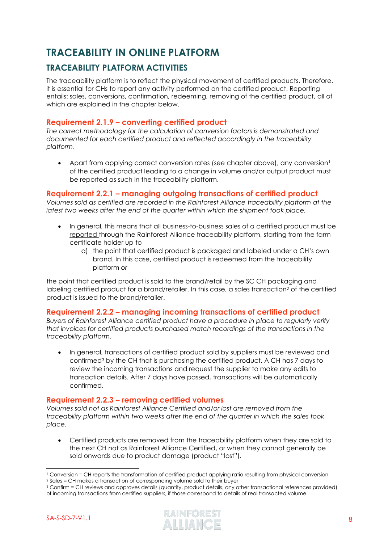# <span id="page-7-0"></span>**TRACEABILITY IN ONLINE PLATFORM**

## <span id="page-7-1"></span>**TRACEABILITY PLATFORM ACTIVITIES**

The traceability platform is to reflect the physical movement of certified products. Therefore, it is essential for CHs to report any activity performed on the certified product. Reporting entails: sales, conversions, confirmation, redeeming, removing of the certified product, all of which are explained in the chapter below.

## <span id="page-7-2"></span>**Requirement 2.1.9 – converting certified product**

*The correct methodology for the calculation of conversion factors is demonstrated and documented for each certified product and reflected accordingly in the traceability platform*.

• Apart from applying correct conversion rates (see chapter above), any conversion<sup>1</sup> of the certified product leading to a change in volume and/or output product must be reported as such in the traceability platform.

## <span id="page-7-3"></span>**Requirement 2.2.1 – managing outgoing transactions of certified product**

*Volumes sold as certified are recorded in the Rainforest Alliance traceability platform at the latest two weeks after the end of the quarter within which the shipment took place.* 

- In general, this means that all business-to-business sales of a certified product must be reported through the Rainforest Alliance traceability platform, starting from the farm certificate holder up to
	- a) the point that certified product is packaged and labeled under a CH's own brand. In this case, certified product is redeemed from the traceability platform *or*

the point that certified product is sold to the brand/retail by the SC CH packaging and labeling certified product for a brand/retailer. In this case, a sales transaction<sup>2</sup> of the certified product is issued to the brand/retailer.

## <span id="page-7-4"></span>**Requirement 2.2.2 – managing incoming transactions of certified product**

*Buyers of Rainforest Alliance certified product have a procedure in place to regularly verify that invoices for certified products purchased match recordings of the transactions in the traceability platform.* 

• In general, transactions of certified product sold by suppliers must be reviewed and confirmed<sup>3</sup> by the CH that is purchasing the certified product. A CH has 7 days to review the incoming transactions and request the supplier to make any edits to transaction details. After 7 days have passed, transactions will be automatically confirmed.

## <span id="page-7-5"></span>**Requirement 2.2.3 – removing certified volumes**

*Volumes sold not as Rainforest Alliance Certified and/or lost are removed from the traceability platform within two weeks after the end of the quarter in which the sales took place.*

• Certified products are removed from the traceability platform when they are sold to the next CH not as Rainforest Alliance Certified, or when they cannot generally be sold onwards due to product damage (product "lost").



<sup>1</sup> Conversion = CH reports the transformation of certified product applying ratio resulting from physical conversion

<sup>2</sup> Sales = CH makes a transaction of corresponding volume sold to their buyer

<sup>3</sup> Confirm = CH reviews and approves details (quantity, product details, any other transactional references provided) of incoming transactions from certified suppliers, if those correspond to details of real transacted volume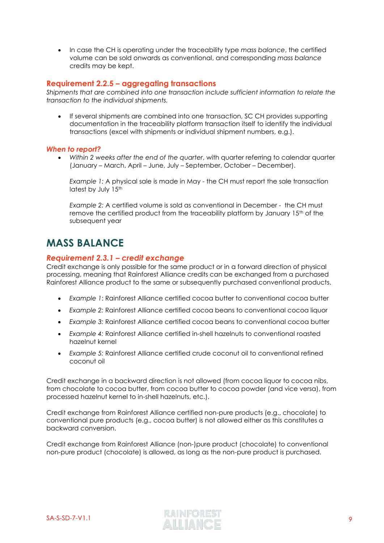• In case the CH is operating under the traceability type *mass balance*, the certified volume can be sold onwards as conventional, and corresponding *mass balance* credits may be kept.

## <span id="page-8-0"></span>**Requirement 2.2.5 – aggregating transactions**

*Shipments that are combined into one transaction include sufficient information to relate the transaction to the individual shipments.* 

• If several shipments are combined into one transaction, SC CH provides supporting documentation in the traceability platform transaction itself to identify the individual transactions (excel with shipments or individual shipment numbers, e.g.).

#### *When to report?*

• *Within 2 weeks after the end of the quarter*, with quarter referring to calendar quarter (January – March, April – June, July – September, October – December).

*Example 1:* A physical sale is made in May - the CH must report the sale transaction latest by July 15<sup>th</sup>

*Example 2:* A certified volume is sold as conventional in December - the CH must remove the certified product from the traceability platform by January 15th of the subsequent year

## <span id="page-8-1"></span>**MASS BALANCE**

### *Requirement 2.3.1 – credit exchange*

Credit exchange is only possible for the same product or in a forward direction of physical processing, meaning that Rainforest Alliance credits can be exchanged from a purchased Rainforest Alliance product to the same or subsequently purchased conventional products.

- *Example 1*: Rainforest Alliance certified cocoa butter to conventional cocoa butter
- *Example 2:* Rainforest Alliance certified cocoa beans to conventional cocoa liquor
- *Example 3:* Rainforest Alliance certified cocoa beans to conventional cocoa butter
- *Example 4:* Rainforest Alliance certified in-shell hazelnuts to conventional roasted hazelnut kernel
- *Example 5:* Rainforest Alliance certified crude coconut oil to conventional refined coconut oil

Credit exchange in a backward direction is not allowed (from cocoa liquor to cocoa nibs, from chocolate to cocoa butter, from cocoa butter to cocoa powder (and vice versa), from processed hazelnut kernel to in-shell hazelnuts, etc.).

Credit exchange from Rainforest Alliance certified non-pure products (e.g., chocolate) to conventional pure products (e.g., cocoa butter) is not allowed either as this constitutes a backward conversion.

Credit exchange from Rainforest Alliance (non-)pure product (chocolate) to conventional non-pure product (chocolate) is allowed, as long as the non-pure product is purchased.

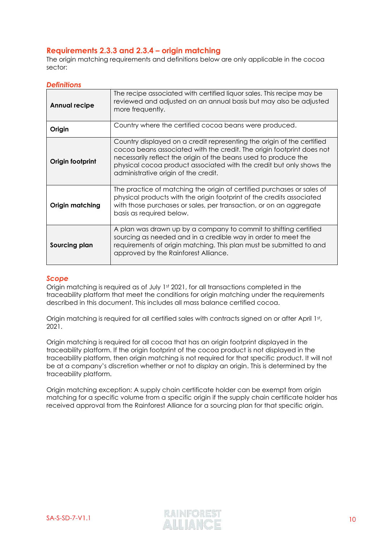## <span id="page-9-0"></span>**Requirements 2.3.3 and 2.3.4 – origin matching**

The origin matching requirements and definitions below are only applicable in the cocoa sector:

### *Definitions*

| <b>Annual recipe</b>   | The recipe associated with certified liquor sales. This recipe may be<br>reviewed and adjusted on an annual basis but may also be adjusted<br>more frequently.                                                                                                                                                                     |  |  |  |
|------------------------|------------------------------------------------------------------------------------------------------------------------------------------------------------------------------------------------------------------------------------------------------------------------------------------------------------------------------------|--|--|--|
| Origin                 | Country where the certified cocoa beans were produced.                                                                                                                                                                                                                                                                             |  |  |  |
| Origin footprint       | Country displayed on a credit representing the origin of the certified<br>cocoa beans associated with the credit. The origin footprint does not<br>necessarily reflect the origin of the beans used to produce the<br>physical cocoa product associated with the credit but only shows the<br>administrative origin of the credit. |  |  |  |
| <b>Origin matching</b> | The practice of matching the origin of certified purchases or sales of<br>physical products with the origin footprint of the credits associated<br>with those purchases or sales, per transaction, or on an aggregate<br>basis as required below.                                                                                  |  |  |  |
| Sourcing plan          | A plan was drawn up by a company to commit to shifting certified<br>sourcing as needed and in a credible way in order to meet the<br>requirements of origin matching. This plan must be submitted to and<br>approved by the Rainforest Alliance.                                                                                   |  |  |  |

## *Scope*

Origin matching is required as of July 1st 2021, for all transactions completed in the traceability platform that meet the conditions for origin matching under the requirements described in this document. This includes all mass balance certified cocoa.

Origin matching is required for all certified sales with contracts signed on or after April 1st, 2021.

Origin matching is required for all cocoa that has an origin footprint displayed in the traceability platform. If the origin footprint of the cocoa product is not displayed in the traceability platform, then origin matching is not required for that specific product. It will not be at a company's discretion whether or not to display an origin. This is determined by the traceability platform.

Origin matching exception: A supply chain certificate holder can be exempt from origin matching for a specific volume from a specific origin if the supply chain certificate holder has received approval from the Rainforest Alliance for a sourcing plan for that specific origin.

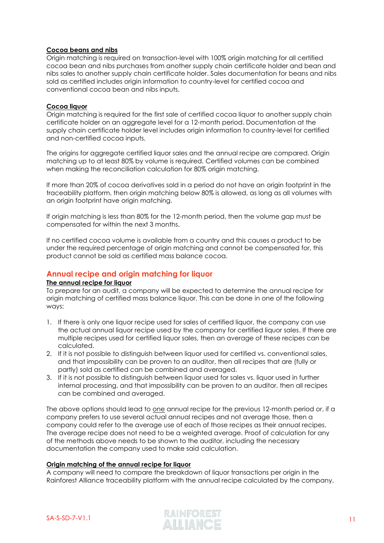#### **Cocoa beans and nibs**

Origin matching is required on transaction-level with 100% origin matching for all certified cocoa bean and nibs purchases from another supply chain certificate holder and bean and nibs sales to another supply chain certificate holder. Sales documentation for beans and nibs sold as certified includes origin information to country-level for certified cocoa and conventional cocoa bean and nibs inputs.

#### **Cocoa liquor**

Origin matching is required for the first sale of certified cocoa liquor to another supply chain certificate holder on an aggregate level for a 12-month period. Documentation at the supply chain certificate holder level includes origin information to country-level for certified and non-certified cocoa inputs.

The origins for aggregate certified liquor sales and the annual recipe are compared. Origin matching up to at least 80% by volume is required. Certified volumes can be combined when making the reconciliation calculation for 80% origin matching.

If more than 20% of cocoa derivatives sold in a period do not have an origin footprint in the traceability platform, then origin matching below 80% is allowed, as long as all volumes with an origin footprint have origin matching.

If origin matching is less than 80% for the 12-month period, then the volume gap must be compensated for within the next 3 months.

If no certified cocoa volume is available from a country and this causes a product to be under the required percentage of origin matching and cannot be compensated for, this product cannot be sold as certified mass balance cocoa.

## <span id="page-10-0"></span>**Annual recipe and origin matching for liquor**

#### **The annual recipe for liquor**

To prepare for an audit, a company will be expected to determine the annual recipe for origin matching of certified mass balance liquor. This can be done in one of the following ways:

- 1. If there is only one liquor recipe used for sales of certified liquor, the company can use the actual annual liquor recipe used by the company for certified liquor sales. If there are multiple recipes used for certified liquor sales, then an average of these recipes can be calculated.
- 2. If it is not possible to distinguish between liquor used for certified vs. conventional sales, and that impossibility can be proven to an auditor, then all recipes that are (fully or partly) sold as certified can be combined and averaged.
- 3. If it is not possible to distinguish between liquor used for sales vs. liquor used in further internal processing, and that impossibility can be proven to an auditor, then all recipes can be combined and averaged.

The above options should lead to one annual recipe for the previous 12-month period *or*, if a company prefers to use several actual annual recipes and not average those, then a company could refer to the average use of each of those recipes as their annual recipes. The average recipe does not need to be a weighted average. Proof of calculation for any of the methods above needs to be shown to the auditor, including the necessary documentation the company used to make said calculation.

#### **Origin matching of the annual recipe for liquor**

A company will need to compare the breakdown of liquor transactions per origin in the Rainforest Alliance traceability platform with the annual recipe calculated by the company,